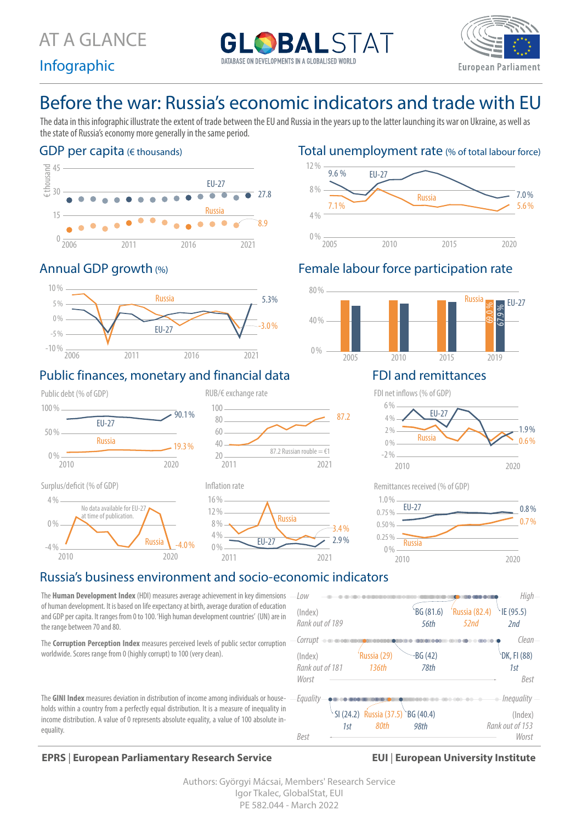Infographic





### $\mathbf C$  $\sim$  5.3%  $\sim$  5.3%  $\sim$  5.3%  $\sim$  5.3%  $\sim$  5.3%  $\sim$  5.3%  $\sim$  5.3%  $\sim$  5.3%  $\sim$  5.3%  $\sim$  5.3%  $\sim$  5.3%  $\sim$  5.3%  $\sim$  5.3%  $\sim$  5.3%  $\sim$  5.3%  $\sim$  5.3%  $\sim$  5.3%  $\sim$  5.3%  $\sim$  5.3%  $\sim$  5.3%  $\sim$  5.3%  $\sim$  5.3% Russia Before the war: Russia's economic indicators and trade with EU

the state of Russia's economy more generally in the same period. .<br>The data in this infographic illustrate the extent of trade between the EU and Russia in the years up to the latter launching its war on Ukraine, as well as

## GDP per capita (€ thousands)



## Total unemployment rate (% of total labour force)





## Public finances, monetary and financial data **FDI FILM** FDI and remittances



# Annual GDP growth (%) example 10 Female labour force participation rate





Remittances received (% of GDP)



## Russia's business environment and socio-economic indicators

The **Human Development Index** (HDI) measures average achievement in key dimensions of human development. It is based on life expectancy at birth, average duration of education and GDP per capita. It ranges from 0 to 100. 'High human development countries' (UN) are in the range between 70 and 80.

The **Corruption Perception Index** measures perceived levels of public sector corruption worldwide. Scores range from 0 (highly corrupt) to 100 (very clean).

The **GINI Index** measures deviation in distribution of income among individuals or households within a country from a perfectly equal distribution. It is a measure of inequality in income distribution. A value of 0 represents absolute equality, a value of 100 absolute inequality.



### **EPRS** | **European Parliamentary Research Service EUI** | **European University Institute**